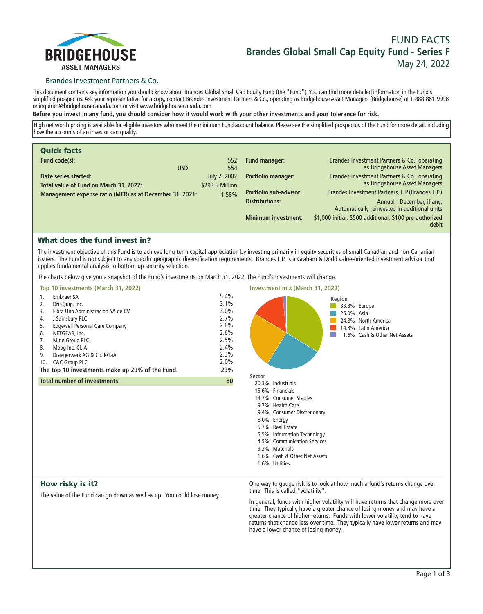

# **FUND FACTS Brandes Global Small Cap Equity Fund - Series F May 24, 2022**

### Brandes Investment Partners & Co.

**This document contains key information you should know about Brandes Global Small Cap Equity Fund (the "Fund"). You can find more detailed information in the Fund's simplified prospectus. Ask your representative for a copy, contact Brandes Investment Partners & Co., operating as Bridgehouse Asset Managers (Bridgehouse) at 1-888-861-9998 or inquiries@bridgehousecanada.com or visit www.bridgehousecanada.com**

**Before you invest in any fund, you should consider how it would work with your other investments and your tolerance for risk.**

**High net worth pricing is available for eligible investors who meet the minimum Fund account balance. Please see the simplified prospectus of the Fund for more detail, including how the accounts of an investor can qualify.**

| <b>Quick facts</b>                                             |                                 |                               |                                                                               |
|----------------------------------------------------------------|---------------------------------|-------------------------------|-------------------------------------------------------------------------------|
| Fund code(s):<br><b>USD</b>                                    | 552<br>554                      | <b>Fund manager:</b>          | Brandes Investment Partners & Co., operating<br>as Bridgehouse Asset Managers |
| Date series started:<br>Total value of Fund on March 31, 2022: | July 2, 2002<br>\$293.5 Million | Portfolio manager:            | Brandes Investment Partners & Co., operating<br>as Bridgehouse Asset Managers |
| Management expense ratio (MER) as at December 31, 2021:        | 1.58%                           | <b>Portfolio sub-advisor:</b> | Brandes Investment Partners, L.P. (Brandes L.P.)                              |
|                                                                |                                 | <b>Distributions:</b>         | Annual - December, if any;<br>Automatically reinvested in additional units    |
|                                                                |                                 | <b>Minimum investment:</b>    | \$1,000 initial, \$500 additional, \$100 pre-authorized<br>debit              |

# What does the fund invest in?

**The investment objective of this Fund is to achieve long-term capital appreciation by investing primarily in equity securities of small Canadian and non-Canadian issuers. The Fund is not subject to any specific geographic diversification requirements. Brandes L.P. is a Graham & Dodd value-oriented investment advisor that applies fundamental analysis to bottom-up security selection.**

**The charts below give you a snapshot of the Fund's investments on March 31, 2022. The Fund's investments will change.**

| Top 10 investments (March 31, 2022)                                                                                                                                                                                                                                                                                                                 |                                                                                        | <b>Investment mix (March 31, 2022)</b>                                                                                                                                                                                                                                                            |
|-----------------------------------------------------------------------------------------------------------------------------------------------------------------------------------------------------------------------------------------------------------------------------------------------------------------------------------------------------|----------------------------------------------------------------------------------------|---------------------------------------------------------------------------------------------------------------------------------------------------------------------------------------------------------------------------------------------------------------------------------------------------|
| Embraer SA<br>1.<br>Dril-Quip, Inc.<br>2.<br>Fibra Uno Administracion SA de CV<br>3.<br>J Sainsbury PLC<br>4.<br><b>Edgewell Personal Care Company</b><br>5.<br>NETGEAR, Inc.<br>6.<br>Mitie Group PLC<br>7.<br>Moog Inc. Cl. A<br>8.<br>Draegerwerk AG & Co. KGaA<br>9.<br>C&C Group PLC<br>10.<br>The top 10 investments make up 29% of the Fund. | 5.4%<br>3.1%<br>$3.0\%$<br>2.7%<br>2.6%<br>2.6%<br>2.5%<br>2.4%<br>2.3%<br>2.0%<br>29% | Region<br>33.8% Europe<br>25.0% Asia<br>24.8% North America<br>14.8% Latin America<br>1.6% Cash & Other Net Assets                                                                                                                                                                                |
| <b>Total number of investments:</b>                                                                                                                                                                                                                                                                                                                 | 80                                                                                     | Sector<br>20.3% Industrials<br>15.6% Financials<br>14.7% Consumer Staples<br>9.7% Health Care<br>9.4% Consumer Discretionary<br>8.0% Energy<br>5.7% Real Estate<br>5.5% Information Technology<br>4.5% Communication Services<br>3.3% Materials<br>1.6% Cash & Other Net Assets<br>1.6% Utilities |
| .                                                                                                                                                                                                                                                                                                                                                   |                                                                                        |                                                                                                                                                                                                                                                                                                   |

### How risky is it?

**The value of the Fund can go down as well as up. You could lose money.**

**One way to gauge risk is to look at how much a fund's returns change over time. This is called "volatility".**

**In general, funds with higher volatility will have returns that change more over time. They typically have a greater chance of losing money and may have a greater chance of higher returns. Funds with lower volatility tend to have returns that change less over time. They typically have lower returns and may have a lower chance of losing money.**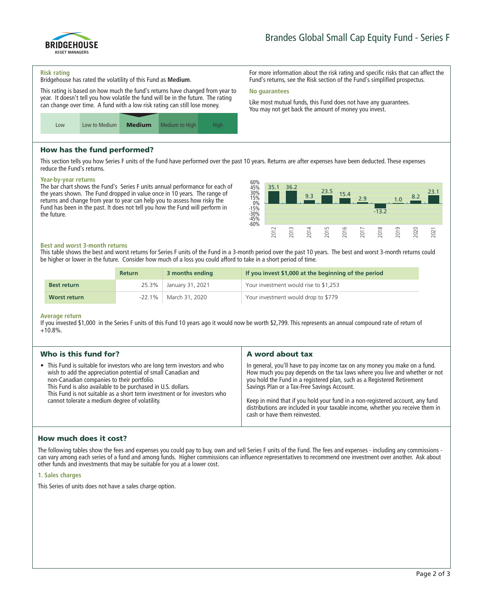

**For more information about the risk rating and specific risks that can affect the Fund's returns, see the Risk section of the Fund's simplified prospectus.**

**Like most mutual funds, this Fund does not have any guarantees. You may not get back the amount of money you invest.**

#### **Risk rating**

**Bridgehouse has rated the volatility of this Fund as Medium.**

**This rating is based on how much the fund's returns have changed from year to year. It doesn't tell you how volatile the fund will be in the future. The rating can change over time. A fund with a low risk rating can still lose money.**



# How has the fund performed?

**This section tells you how Series F units of the Fund have performed over the past 10 years. Returns are after expenses have been deducted. These expenses reduce the Fund's returns.**

**No guarantees**

#### **Year-by-year returns**

**The bar chart shows the Fund's Series F units annual performance for each of the years shown. The Fund dropped in value once in 10 years. The range of returns and change from year to year can help you to assess how risky the Fund has been in the past. It does not tell you how the Fund will perform in the future.**



#### **Best and worst 3-month returns**

**This table shows the best and worst returns for Series F units of the Fund in a 3-month period over the past 10 years. The best and worst 3-month returns could be higher or lower in the future. Consider how much of a loss you could afford to take in a short period of time.**

|                    | <b>Return</b> | 3 months ending  | If you invest \$1,000 at the beginning of the period |
|--------------------|---------------|------------------|------------------------------------------------------|
| <b>Best return</b> | $25.3\%$      | January 31, 2021 | Your investment would rise to \$1,253                |
| Worst return       | -22.1% +      | March 31, 2020   | Your investment would drop to \$779                  |

#### **Average return**

**If you invested \$1,000 in the Series F units of this Fund 10 years ago it would now be worth \$2,799. This represents an annual compound rate of return of +10.8%.**

| Who is this fund for?                                                                                                                                                                                                                                                                                                                                                                  | A word about tax                                                                                                                                                                                                                                                                                                                                                                                                                                                                       |
|----------------------------------------------------------------------------------------------------------------------------------------------------------------------------------------------------------------------------------------------------------------------------------------------------------------------------------------------------------------------------------------|----------------------------------------------------------------------------------------------------------------------------------------------------------------------------------------------------------------------------------------------------------------------------------------------------------------------------------------------------------------------------------------------------------------------------------------------------------------------------------------|
| • This Fund is suitable for investors who are long term investors and who<br>wish to add the appreciation potential of small Canadian and<br>non-Canadian companies to their portfolio.<br>This Fund is also available to be purchased in U.S. dollars.<br>This Fund is not suitable as a short term investment or for investors who<br>cannot tolerate a medium degree of volatility. | In general, you'll have to pay income tax on any money you make on a fund.<br>How much you pay depends on the tax laws where you live and whether or not<br>you hold the Fund in a registered plan, such as a Registered Retirement<br>Savings Plan or a Tax-Free Savings Account.<br>Keep in mind that if you hold your fund in a non-registered account, any fund<br>distributions are included in your taxable income, whether you receive them in<br>cash or have them reinvested. |

### How much does it cost?

**The following tables show the fees and expenses you could pay to buy, own and sell Series F units of the Fund. The fees and expenses - including any commissions can vary among each series of a fund and among funds. Higher commissions can influence representatives to recommend one investment over another. Ask about other funds and investments that may be suitable for you at a lower cost.**

#### **1. Sales charges**

**This Series of units does not have a sales charge option.**